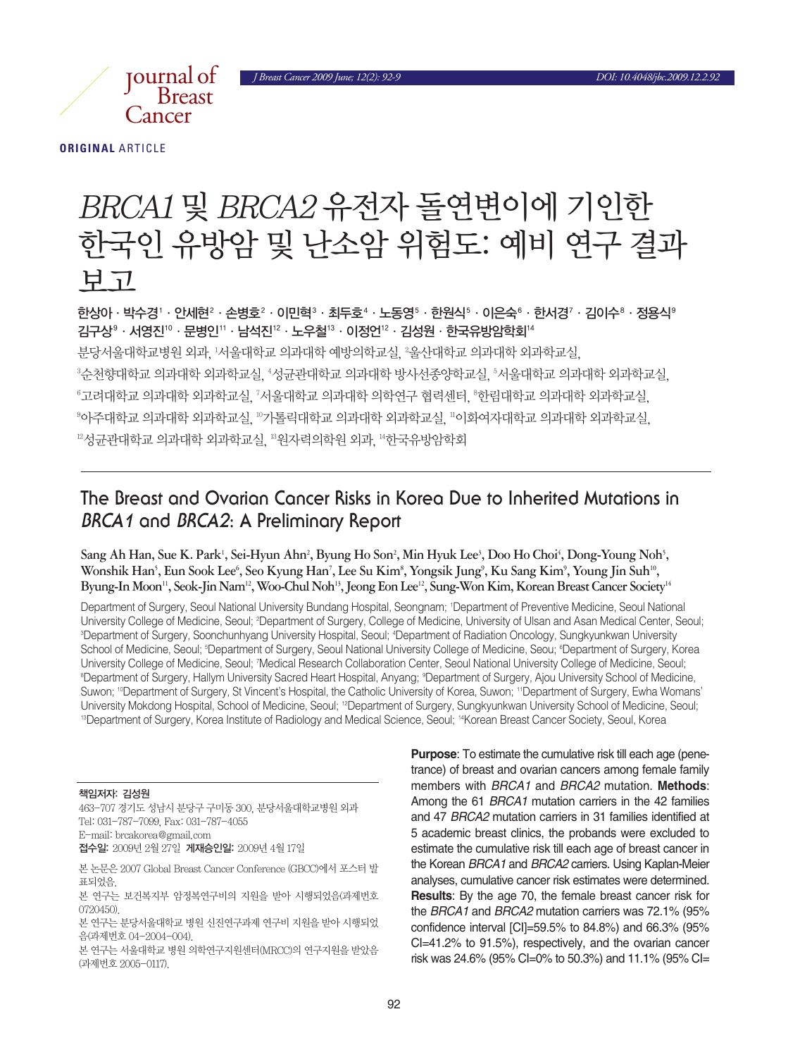*J Breast Cancer 2009 June; 12(2): 92-9 DOI: 10.4048/jbc.2009.12.2.92*



**ORIGINAL** ARTICLE

# BRCA1 및 BRCA2 유전자 돌연변이에 기인한 한국인 유방암 및 난소암 위험도: 예비 연구 결과 보고

한상아 · 박수경' · 안세현 $^2$  · 손병호 $^2$  · 이민혁 $^3$  · 최두호 $^4$  · 노동영 $^5$  · 한원식 $^6$  · 이은숙 $^6$  · 한서경 $^7$  · 김이수 $^8$  · 정용식 $^9$ 김구상®ㆍ서영진®ㆍ문병인‼ㆍ남석진12ㆍ노우철13ㆍ이정언12ㆍ김성원ㆍ한국유방암학회14 분당서울대학교병원 외과, '서울대학교 의과대학 예방의학교실, <sup>2</sup>울산대학교 의과대학 외과학교실, °순천향대학교 의과대학 외과학교실, "성균관대학교 의과대학 방사선종양학교실, °서울대학교 의과대학 외과학교실, "고려대학교 의과대학 외과학교과 의과대학 의학연구 협력센터, "한림대학교 의과대학 외과학교실, º아주대학교 의과대학 외과학교실, ºº가톨릭대학교 의과대학 외과학교실, ''이화여자대학교 의과대학 외과학교실, 12성균관대학교의과대학외과학교실, 13원자력의학원외과, 14한국유방암학회

## **The Breast and Ovarian Cancer Risks in Korea Due to Inherited Mutations in BRCA1 and BRCA2: A Preliminary Report**

 $\delta$ ang Ah Han, Sue K. Park<sup>1</sup>, Sei-Hyun Ahn<sup>2</sup>, Byung Ho Son<sup>2</sup>, Min Hyuk Lee<sup>3</sup>, Doo Ho Choi<sup>4</sup>, Dong-Young Noh<sup>5</sup>, Wonshik Han<sup>s</sup>, Eun Sook Lee<sup>6</sup>, Seo Kyung Han<sup>7</sup>, Lee Su Kim<sup>8</sup>, Yongsik Jung<sup>9</sup>, Ku Sang Kim<sup>9</sup>, Young Jin Suh<sup>10</sup>, Byung-In Moon<sup>11</sup>, Seok-Jin Nam<sup>12</sup>, Woo-Chul Noh<sup>13</sup>, Jeong Eon Lee<sup>12</sup>, Sung-Won Kim, Korean Breast Cancer Society<sup>14</sup>

Department of Surgery, Seoul National University Bundang Hospital, Seongnam; 1 Department of Preventive Medicine, Seoul National University College of Medicine, Seoul; <sup>2</sup>Department of Surgery, College of Medicine, University of Ulsan and Asan Medical Center, Seoul; 3 Department of Surgery, Soonchunhyang University Hospital, Seoul; 4 Department of Radiation Oncology, Sungkyunkwan University School of Medicine, Seoul; <sup>s</sup>Department of Surgery, Seoul National University College of Medicine, Seou; <sup>s</sup>Department of Surgery, Korea University College of Medicine, Seoul; 7Medical Research Collaboration Center, Seoul National University College of Medicine, Seoul; ®Department of Surgery, Hallym University Sacred Heart Hospital, Anyang; ®Department of Surgery, Ajou University School of Medicine, Suwon; <sup>10</sup>Department of Surgery, St Vincent's Hospital, the Catholic University of Korea, Suwon; <sup>11</sup>Department of Surgery, Ewha Womans' University Mokdong Hospital, School of Medicine, Seoul; <sup>12</sup>Department of Surgery, Sungkyunkwan University School of Medicine, Seoul; <sup>13</sup>Department of Surgery, Korea Institute of Radiology and Medical Science, Seoul; <sup>14</sup>Korean Breast Cancer Society, Seoul, Korea

#### 책임저자: 김성원

463-707 경기도 성남시 분당구 구미동 300, 분당서울대학교병원 외과 Tel: 031-787-7099, Fax: 031-787-4055 E-mail: brcakorea@gmail.com

접수일: 2009년 2월 27일 게재승인일: 2009년 4월 17일

본 논문은 2007 Global Breast Cancer Conference (GBCC)에서 포스터 발 표되었음.

본 연구는 보건복지부 암정복연구비의 지원을 받아 시행되었음(과제번호 0720450).

본 연구는 분당서울대학교 병원 신진연구과제 연구비 지원을 받아 시행되었 음(과제번호 04-2004-004).

본 연구는 서울대학교 병원 의학연구지원센터(MRCC)의 연구지원을 받았음 (과제번호 2005-0117).

**Purpose**: To estimate the cumulative risk till each age (penetrance) of breast and ovarian cancers among female family members with *BRCA1* and *BRCA2* mutation. **Methods**: Among the 61 *BRCA1* mutation carriers in the 42 families and 47 *BRCA2* mutation carriers in 31 families identified at 5 academic breast clinics, the probands were excluded to estimate the cumulative risk till each age of breast cancer in the Korean *BRCA1* and *BRCA2* carriers. Using Kaplan-Meier analyses, cumulative cancer risk estimates were determined. **Results**: By the age 70, the female breast cancer risk for the *BRCA1* and *BRCA2* mutation carriers was 72.1% (95% confidence interval [CI]=59.5% to 84.8%) and 66.3% (95% CI=41.2% to 91.5%), respectively, and the ovarian cancer risk was 24.6% (95% CI=0% to 50.3%) and 11.1% (95% CI=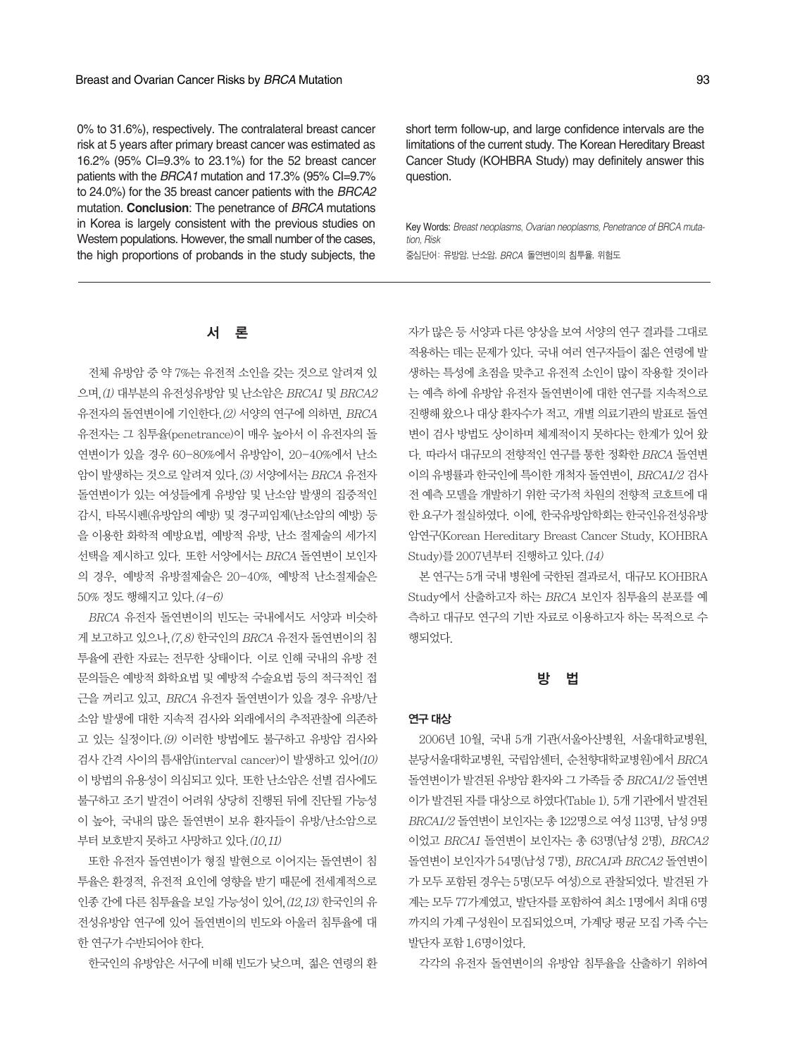0% to 31.6%), respectively. The contralateral breast cancer risk at 5 years after primary breast cancer was estimated as 16.2% (95% CI=9.3% to 23.1%) for the 52 breast cancer patients with the *BRCA1* mutation and 17.3% (95% CI=9.7% to 24.0%) for the 35 breast cancer patients with the *BRCA2* mutation. **Conclusion**: The penetrance of *BRCA* mutations in Korea is largely consistent with the previous studies on Western populations. However, the small number of the cases, the high proportions of probands in the study subjects, the

short term follow-up, and large confidence intervals are the limitations of the current study. The Korean Hereditary Breast Cancer Study (KOHBRA Study) may definitely answer this question.

Key Words: *Breast neoplasms*, *Ovarian neoplasms, Penetrance of BRCA mutation, Risk* 중심단어: 유방암, 난소암, BRCA 돌연변이의 침투율, 위험도

## 서 론

전체 유방암 중 약 7%는 유전적 소인을 갖는 것으로 알려져 있 으며,  $(1)$  대부분의 유전성유방암 및 난소암은 BRCA1 및 BRCA2 유전자의 돌연변이에 기인한다. (2) 서양의 연구에 의하면, BRCA 유전자는 그 침투율(penetrance)이 매우 높아서 이 유전자의 돌 연변이가 있을 경우 60-80%에서 유방암이, 20-40%에서 난소 암이 발생하는 것으로 알려져 있다. (3) 서양에서는 BRCA 유전자 돌연변이가 있는 여성들에게 유방암 및 난소암 발생의 집중적인 감시, 타목시펜(유방암의 예방) 및 경구피임제(난소암의 예방) 등 을 이용한 화학적 예방요법, 예방적 유방, 난소 절제술의 세가지 선택을 제시하고 있다. 또한 서양에서는 BRCA 돌연변이 보인자 의 경우, 예방적 유방절제술은 20-40%, 예방적 난소절제술은 50% 정도행해지고있다.(4-6)

BRCA 유전자 돌연변이의 빈도는 국내에서도 서양과 비슷하 게 보고하고 있으나. (7,8) 한국인의 BRCA 유전자 돌연변이의 침 투율에 관한 자료는 전무한 상태이다. 이로 인해 국내의 유방 전 문의들은 예방적 화학요법 및 예방적 수술요법 등의 적극적인 접 근을 꺼리고 있고, BRCA 유전자 돌연변이가 있을 경우 유방/난 소암 발생에 대한 지속적 검사와 외래에서의 추적관찰에 의존하 고 있는 실정이다.(9) 이러한 방법에도 불구하고 유방암 검사와 검사 간격 사이의 틈새암(interval cancer)이 발생하고 있어(10) 이 방법의 유용성이 의심되고 있다. 또한 난소암은 선별 검사에도 불구하고 조기 발견이 어려워 상당히 진행된 뒤에 진단될 가능성 이 높아, 국내의 많은 돌연변이 보유 환자들이 유방/난소암으로 부터 보호받지 못하고 사망하고 있다. (10,11)

또한 유전자 돌연변이가 형질 발현으로 이어지는 돌연변이 침 투율은 환경적, 유전적 요인에 영향을 받기 때문에 전세계적으로 인종 간에 다른 침투율을 보일 가능성이 있어. (12,13) 한국인의 유 전성유방암 연구에 있어 돌연변이의 빈도와 아울러 침투율에 대 한 연구가 수반되어야 한다.

한국인의 유방암은 서구에 비해 빈도가 낮으며, 젊은 연령의 환

자가 많은 등 서양과 다른 양상을 보여 서양의 연구 결과를 그대로 적용하는 데는 문제가 있다. 국내 여러 연구자들이 젊은 연령에 발 생하는 특성에 초점을 맞추고 유전적 소인이 많이 작용할 것이라 는 예측 하에 유방암 유전자 돌연변이에 대한 연구를 지속적으로 진행해 왔으나 대상 환자수가 적고, 개별 의료기관의 발표로 돌연 변이 검사 방법도 상이하며 체계적이지 못하다는 한계가 있어 왔 다. 따라서 대규모의 전향적인 연구를 통한 정확한 BRCA 돌연변 이의유병률과한국인에특이한개척자돌연변이, BRCA1/2 검사 전 예측 모델을 개발하기 위한 국가적 차워의 전향적 코호트에 대 한 요구가 절실하였다. 이에, 한국유방암학회는 한국인유전성유방 암연구(Korean Hereditary Breast Cancer Study, KOHBRA Study)를 2007년부터 진행하고 있다. (14)

본 연구는 5개 국내 병원에 국한된 결과로서, 대규모 KOHBRA Study에서 산출하고자 하는 BRCA 보인자 침투율의 분포를 예 측하고 대규모 연구의 기반 자료로 이용하고자 하는 목적으로 수 행되었다.

## 방 법

#### 연구대상

2006년 10월, 국내 5개 기관(서울아산병원, 서울대학교병원, 분당서울대학교병원, 국립암센터, 순천향대학교병원)에서 BRCA 돌연변이가 발견된 유방암 환자와 그 가족들 중 BRCA1/2 돌연변 이가 발견된 자를 대상으로 하였다(Table 1). 5개 기관에서 발견된 BRCA1/2 돌연변이 보인자는 총 122명으로 여성 113명, 남성 9명 이었고 BRCA1 돌연변이 보인자는 총 63명(남성 2명), BRCA2 돌연변이 보인자가 54명(남성 7명), BRCA1과 BRCA2 돌연변이 가모두포함된경우는5명(모두여성)으로관찰되었다. 발견된가 계는 모두 77가계였고, 발단자를 포함하여 최소 1명에서 최대 6명 까지의 가계 구성원이 모집되었으며, 가계당 평균 모집 가족 수는 발단자포함 1.6명이었다.

각각의 유전자 돌연변이의 유방암 침투율을 산출하기 위하여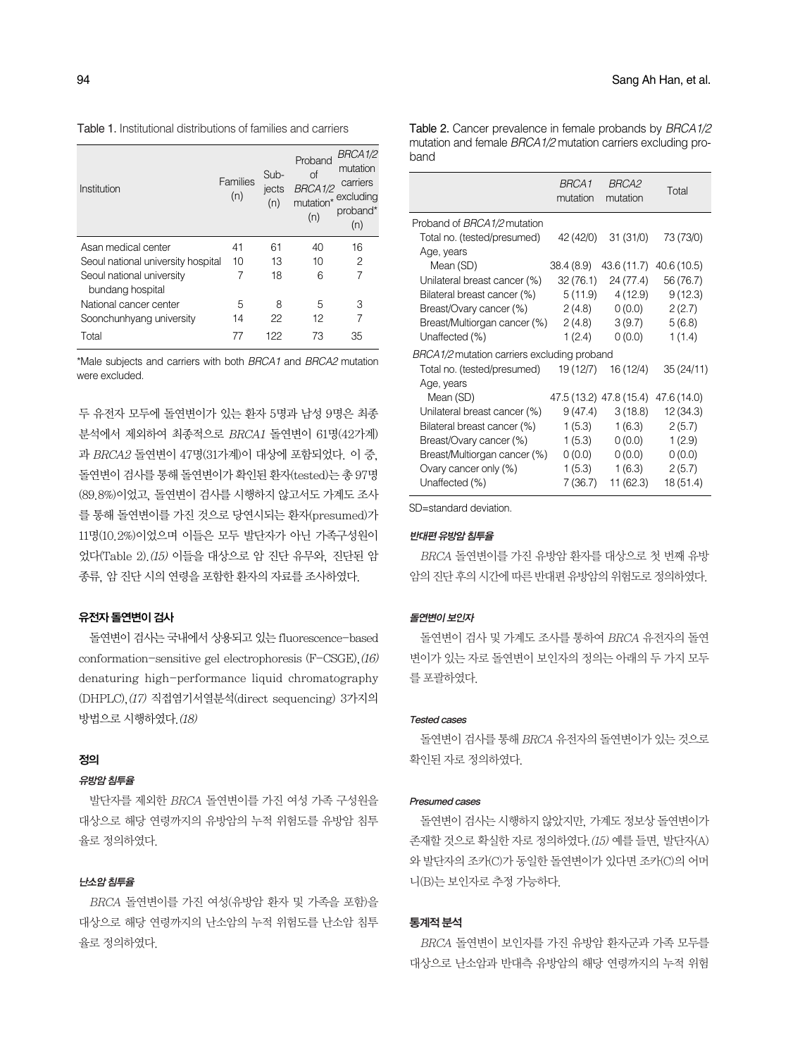Table 1. Institutional distributions of families and carriers

| Institution                        | Families<br>(n) | Sub-<br>jects<br>(n) | Proband<br>of<br>BRCA1/2<br>mutation*<br>(n) | BRCA1/2<br>mutation<br>carriers<br>excluding<br>proband*<br>(n) |
|------------------------------------|-----------------|----------------------|----------------------------------------------|-----------------------------------------------------------------|
| Asan medical center                | 41              | 61                   | 40                                           | 16                                                              |
| Seoul national university hospital | 10              | 13                   | 10                                           | 2                                                               |
| Seoul national university          | 7               | 18                   | 6                                            | 7                                                               |
| bundang hospital                   |                 |                      |                                              |                                                                 |
| National cancer center             | 5               | 8                    | 5                                            | 3                                                               |
| Soonchunhyang university           | 14              | 22                   | 12                                           |                                                                 |
| Total                              |                 | 122                  | 73                                           | 35                                                              |

\*Male subjects and carriers with both *BRCA1* and *BRCA2* mutation were excluded.

두 유전자 모두에 돌연변이가 있는 환자 5명과 남성 9명은 최종 분석에서 제외하여 최종적으로 BRCA1 돌연변이 61명(42가계) 과 BRCA2 돌연변이 47명(31가계)이 대상에 포함되었다. 이 중, 돌연변이 검사를 통해 돌연변이가 확인된 환자(tested)는 총 97명 (89.8%)이었고, 돌연변이 검사를 시행하지 않고서도 가계도 조사 를 통해 돌연변이를 가진 것으로 당연시되는 환자(presumed)가 11명(10.2%)이었으며 이들은 모두 발단자가 아닌 가족구성원이 었다(Table 2).(15) 이들을 대상으로 암 진단 유무와, 진단된 암 종류, 암진단시의연령을포함한환자의자료를조사하였다.

## 유전자돌연변이검사

돌연변이 검사는 국내에서 상용되고 있는 fluorescence-based conformation-sensitive gel electrophoresis (F-CSGE),(16) denaturing high-performance liquid chromatography (DHPLC),(17) 직접염기서열분석(direct sequencing) 3가지의 방법으로시행하였다.(18)

#### 정의

## 유방암침투율

발단자를 제외한 BRCA 돌연변이를 가진 여성 가족 구성원을 대상으로 해당 연령까지의 유방암의 누적 위험도를 유방암 침투 율로정의하였다.

## 난소암침투율

BRCA 돌연변이를 가진 여성(유방암 환자 및 가족을 포함)을 대상으로 해당 연령까지의 난소암의 누적 위험도를 난소암 침투 율로정의하였다.

Table 2. Cancer prevalence in female probands by *BRCA1/2* mutation and female *BRCA1/2* mutation carriers excluding proband

|                                             | <i>BRCA1</i><br>mutation | <i>BRCA2</i><br>mutation | Total       |
|---------------------------------------------|--------------------------|--------------------------|-------------|
| Proband of BRCA1/2 mutation                 |                          |                          |             |
| Total no. (tested/presumed)                 | 42 (42/0)                | 31(31/0)                 | 73 (73/0)   |
| Age, years                                  |                          |                          |             |
| Mean (SD)                                   | 38.4 (8.9)               | 43.6 (11.7)              | 40.6 (10.5) |
| Unilateral breast cancer (%)                | 32 (76.1)                | 24 (77.4)                | 56 (76.7)   |
| Bilateral breast cancer (%)                 | 5 (11.9)                 | 4(12.9)                  | 9(12.3)     |
| Breast/Ovary cancer (%)                     | 2(4.8)                   | 0(0.0)                   | 2(2.7)      |
| Breast/Multiorgan cancer (%)                | 2(4.8)                   | 3(9.7)                   | 5(6.8)      |
| Unaffected (%)                              | 1(2.4)                   | 0(0.0)                   | 1(1.4)      |
| BRCA1/2 mutation carriers excluding proband |                          |                          |             |
| Total no. (tested/presumed)                 | 19 (12/7)                | 16 (12/4)                | 35 (24/11)  |
| Age, years                                  |                          |                          |             |
| Mean (SD)                                   |                          | 47.5 (13.2) 47.8 (15.4)  | 47.6 (14.0) |
| Unilateral breast cancer (%)                | 9(47.4)                  | 3(18.8)                  | 12 (34.3)   |
| Bilateral breast cancer (%)                 | 1(5.3)                   | 1(6.3)                   | 2(5.7)      |
| Breast/Ovary cancer (%)                     | 1(5.3)                   | 0(0.0)                   | 1(2.9)      |
| Breast/Multiorgan cancer (%)                | 0(0.0)                   | 0(0.0)                   | 0(0.0)      |
| Ovary cancer only (%)                       | 1(5.3)                   | 1(6.3)                   | 2(5.7)      |
| Unaffected (%)                              | 7(36.7)                  | 11 (62.3)                | 18(51.4)    |

SD=standard deviation.

#### 반대편유방암침투율

BRCA 돌연변이를 가진 유방암 환자를 대상으로 첫 번째 유방 암의 진단 후의 시간에 따른 반대편 유방암의 위험도로 정의하였다.

## 돌연변이보인자

돌연변이 검사 및 가계도 조사를 통하여 BRCA 유전자의 돌연 변이가 있는 자로 돌연변이 보인자의 정의는 아래의 두 가지 모두 를포괄하였다.

#### Tested cases

돌연변이 검사를 통해 BRCA 유전자의 돌연변이가 있는 것으로 확인된 자로 정의하였다.

### Presumed cases

돌연변이 검사는 시행하지 않았지만, 가계도 정보상 돌연변이가 존재할것으로확실한자로정의하였다.(15) 예를들면, 발단자(A) 와 발단자의 조카(C)가 동일한 돌연변이가 있다면 조카(C)의 어머 니(B)는 보인자로 추정 가능하다.

## 통계적분석

BRCA 돌연변이 보인자를 가진 유방암 환자군과 가족 모두를 대상으로 난소암과 반대측 유방암의 해당 연령까지의 누적 위험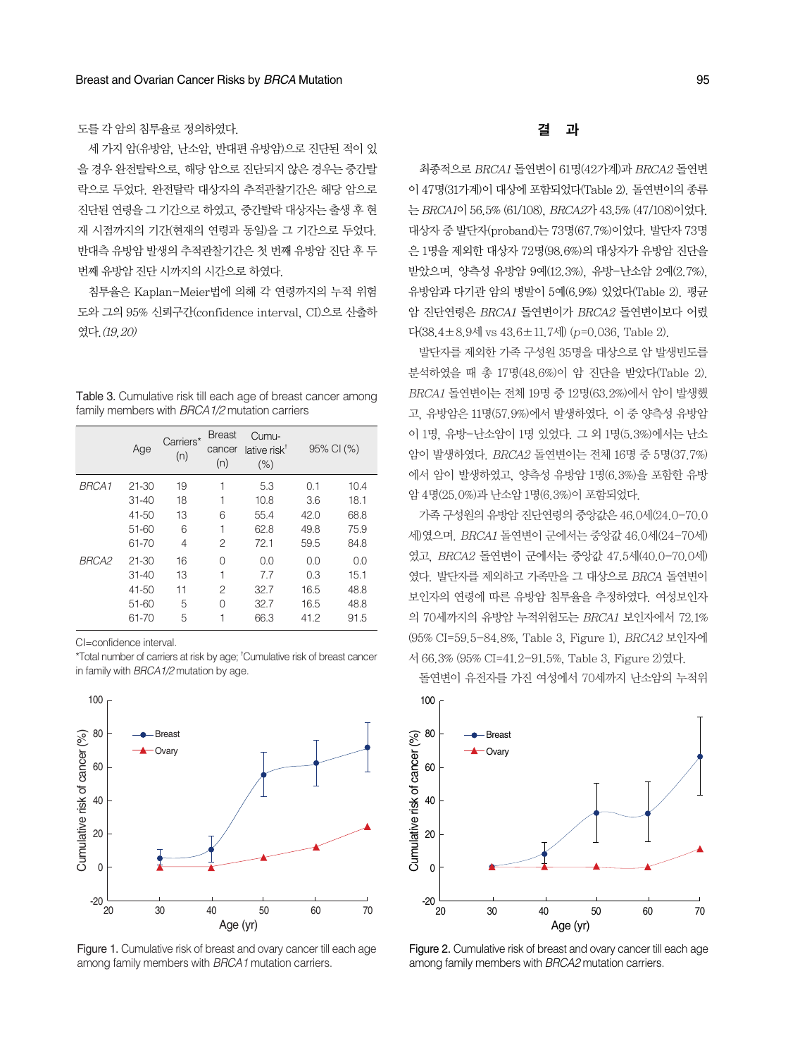세 가지 암(유방암, 난소암, 반대편 유방암)으로 진단된 적이 있 을경우완전탈락으로, 해당암으로진단되지않은경우는중간탈 락으로 두었다. 완전탈락 대상자의 추적관찰기간은 해당 암으로 진단된 연령을 그 기간으로 하였고, 중간탈락 대상자는 출생 후 현 재 시점까지의 기간(현재의 연령과 동일)을 그 기간으로 두었다. 반대측 유방암 발생의 추적관찰기간은 첫 번째 유방암 진단 후 두 번째 유방암 지다 시까지의 시간으로 하였다.

침투율은 Kaplan-Meier법에 의해 각 연령까지의 누적 위험 도와 그의 95% 신뢰구간(confidence interval, CI)으로 산출하 였다.(19,20)

| Table 3. Cumulative risk till each age of breast cancer among |  |  |
|---------------------------------------------------------------|--|--|
| family members with BRCA1/2 mutation carriers                 |  |  |

|       | Age       | Carriers*<br>(n) | <b>Breast</b><br>cancer<br>(n) | Cumu-<br>lative risk <sup>†</sup><br>(% ) | 95% CI (%) |      |
|-------|-----------|------------------|--------------------------------|-------------------------------------------|------------|------|
| BRCA1 | $21 - 30$ | 19               | 1                              | 5.3                                       | 0.1        | 10.4 |
|       | $31 - 40$ | 18               | 1                              | 10.8                                      | 3.6        | 18.1 |
|       | 41-50     | 13               | 6                              | 55.4                                      | 42.0       | 68.8 |
|       | $51 - 60$ | 6                | 1                              | 62.8                                      | 49.8       | 75.9 |
|       | 61-70     | 4                | 2                              | 72.1                                      | 59.5       | 84.8 |
| BRCA2 | $21 - 30$ | 16               | 0                              | 0.0                                       | 0.0        | 0.0  |
|       | $31 - 40$ | 13               | 1                              | 7.7                                       | 0.3        | 15.1 |
|       | $41 - 50$ | 11               | 2                              | 32.7                                      | 16.5       | 48.8 |
|       | $51 - 60$ | 5                | O                              | 32.7                                      | 16.5       | 48.8 |
|       | 61-70     | 5                | 1                              | 66.3                                      | 41.2       | 91.5 |

CI=confidence interval.

\*Total number of carriers at risk by age; <sup>†</sup>Cumulative risk of breast cancer in family with *BRCA1/2* mutation by age.



Figure 1. Cumulative risk of breast and ovary cancer till each age among family members with *BRCA1* mutation carriers.

결 과

최종적으로 BRCA1 돌연변이 61명(42가계)과 BRCA2 돌연변 이 47명(31가계)이 대상에 포함되었다(Table 2). 돌연변이의 종류 는 BRCA1이 56.5% (61/108), BRCA2가 43.5% (47/108)이었다. 대상자중발단자(proband)는 73명(67.7%)이었다. 발단자 73명 은 1명을 제외한 대상자 72명(98.6%)의 대상자가 유방암 진단을 받았으며, 양측성 유방암 9예(12.3%), 유방-난소암 2예(2.7%), 유방암과 다기관 암의 병발이 5예(6.9%) 있었다(Table 2). 평균 암 진단연령은 BRCA1 돌연변이가 BRCA2 돌연변이보다 어렸 다(38.4±8.9세 vs  $43.6 \pm 11.7$ 세) (p=0.036, Table 2).

발단자를 제외한 가족 구성원 35명을 대상으로 암 발생빈도를 분석하였을 때 총 17명(48.6%)이 암 진단을 받았다(Table 2). BRCA1 돌연변이는 전체 19명 중 12명(63.2%)에서 암이 발생했 고, 유방암은 11명(57.9%)에서 발생하였다. 이 중 양측성 유방암 이 1명, 유방-난소암이 1명 있었다. 그 외 1명(5.3%)에서는 난소 암이 발생하였다. BRCA2 돌연변이는 전체 16명 중 5명(37.7%) 에서 암이 발생하였고, 양측성 유방암 1명(6.3%)을 포함한 유방 암 4명(25.0%)과난소암 1명(6.3%)이포함되었다.

가족구성원의유방암진단연령의중앙값은46.0세(24.0-70.0 세)였으며. BRCA1 돌연변이 군에서는 중앙값 46.0세(24-70세) 였고, BRCA2 돌연변이 군에서는 중앙값 47.5세(40.0-70.0세) 였다. 발단자를 제외하고 가족만을 그 대상으로 BRCA 돌연변이 보인자의 연령에 따른 유방암 침투율을 추정하였다. 여성보인자 의 70세까지의 유방암 누적위험도는 BRCA1 보인자에서 72.1% (95% CI=59.5-84.8%, Table 3, Figure 1), BRCA2 보인자에 서 66.3% (95% CI=41.2-91.5%, Table 3, Figure 2)였다.

돌연변이 유전자를 가진 여성에서 70세까지 난소암의 누적위



Figure 2. Cumulative risk of breast and ovary cancer till each age among family members with *BRCA2* mutation carriers.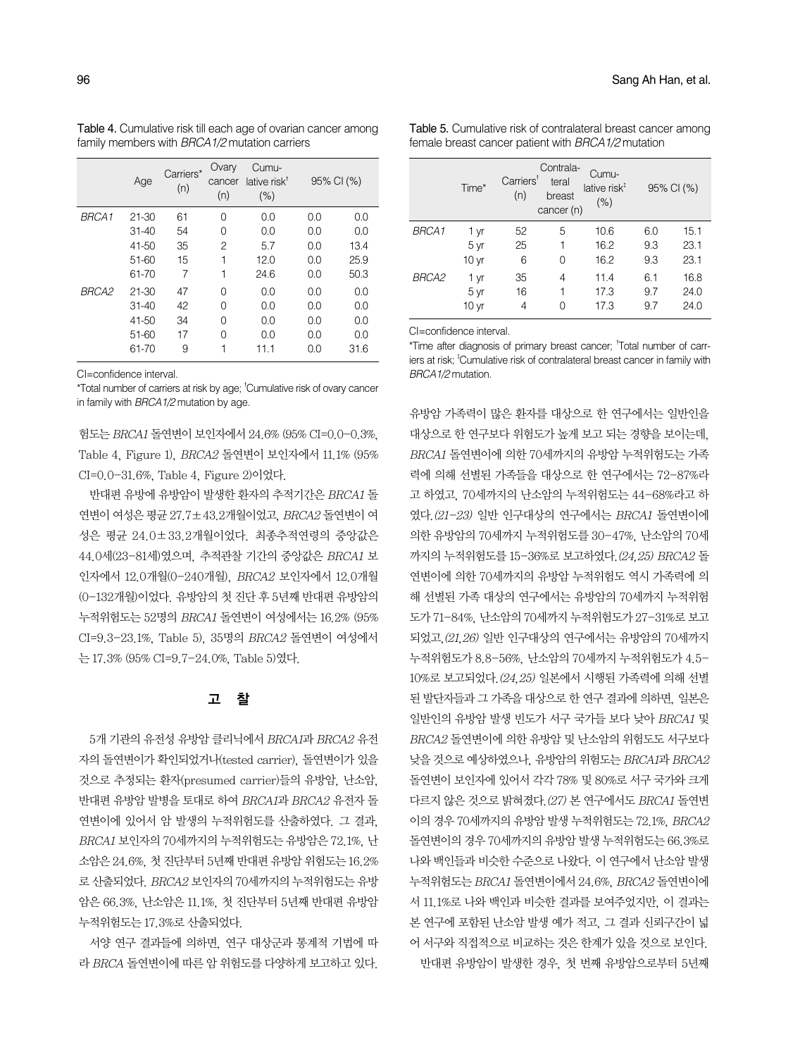| tamily members with <i>BRCA1/2</i> mutation carriers |           |                  |                        |                                           |     |            |  |
|------------------------------------------------------|-----------|------------------|------------------------|-------------------------------------------|-----|------------|--|
|                                                      | Age       | Carriers*<br>(n) | Ovary<br>cancer<br>(n) | Cumu-<br>lative risk <sup>†</sup><br>(% ) |     | 95% CI (%) |  |
| BRCA1                                                | 21-30     | 61               | 0                      | 0.0                                       | 0.0 | 0.0        |  |
|                                                      | $31 - 40$ | 54               | 0                      | 0.0                                       | 0.0 | 0.0        |  |
|                                                      | 41-50     | 35               | 2                      | 5.7                                       | 0.0 | 13.4       |  |
|                                                      | 51-60     | 15               | 1                      | 12.0                                      | 0.0 | 25.9       |  |
|                                                      | 61-70     | 7                | 1                      | 24.6                                      | 0.0 | 50.3       |  |
| BRCA2                                                | $21 - 30$ | 47               | 0                      | 0.0                                       | 0.0 | 0.0        |  |
|                                                      | $31 - 40$ | 42               | 0                      | 0.0                                       | 0.0 | 0.0        |  |
|                                                      | 41-50     | 34               | 0                      | 0.0                                       | 0.0 | 0.0        |  |
|                                                      | 51-60     | 17               | 0                      | 0.0                                       | 0.0 | 0.0        |  |
|                                                      | 61-70     | 9                |                        | 11.1                                      | 0.0 | 31.6       |  |

Table 4. Cumulative risk till each age of ovarian cancer among family members with *BRCA1/2* mutation carriers

CI=confidence interval.

\*Total number of carriers at risk by age; <sup>†</sup>Cumulative risk of ovary cancer in family with *BRCA1/2* mutation by age.

험도는 BRCA1 돌연변이 보인자에서 24.6% (95% CI=0.0-0.3%, Table 4, Figure 1), BRCA2 돌연변이 보인자에서 11.1% (95% CI=0.0-31.6%, Table 4, Figure 2)이었다.

반대편 유방에 유방암이 발생한 환자의 추적기간은 BRCA1 돌 연변이 여성은 평균 27.7±43.2개월이었고, BRCA2 돌연변이 여 성은 평균 24.0±33.2개월이었다. 최종추적연령의 중앙값은 44.0세(23-81세)였으며, 추적관찰 기간의 중앙값은 BRCA1 보 인자에서 12.0개월(0-240개월), BRCA2 보인자에서 12.0개월 (0-132개월)이었다. 유방암의첫진단후 5년째반대편유방암의 누적위험도는 52명의 BRCA1 돌연변이 여성에서는 16.2% (95% CI=9.3-23.1%, Table 5), 35명의 BRCA2 돌연변이 여성에서 는 17.3% (95% CI=9.7-24.0%, Table 5)였다.

## 고 찰

5개 기관의 유전성 유방암 클리닉에서 BRCA1과 BRCA2 유전 자의 돌연변이가 확인되었거나(tested carrier), 돌연변이가 있을 것으로 추정되는 환자(presumed carrier)들의 유방암, 난소암, 반대편 유방암 발병을 토대로 하여 BRCA1과 BRCA2 유전자 돌 연변이에 있어서 암 발생의 누적위험도를 산출하였다. 그 결과, BRCA1 보인자의 70세까지의 누적위험도는 유방암은 72.1%, 난 소암은24.6%, 첫진단부터5년째반대편유방암위험도는16.2% 로 산출되었다. BRCA2 보인자의 70세까지의 누적위험도는 유방 암은 66.3%, 난소암은 11.1%, 첫 진단부터 5년째 반대편 유방암 누적위험도는 17.3%로 산출되었다.

서양 연구 결과들에 의하면, 연구 대상군과 통계적 기법에 따 라 BRCA 돌연변이에 따른 암 위험도를 다양하게 보고하고 있다.

Table 5. Cumulative risk of contralateral breast cancer among female breast cancer patient with *BRCA1/2* mutation

|              | Time*                            | Carriers <sup>t</sup><br>(n) | Contrala-<br>teral<br>breast<br>cancer (n) | Cumu-<br>lative risk <sup>#</sup><br>$(\% )$ |                   | 95% CI (%)           |
|--------------|----------------------------------|------------------------------|--------------------------------------------|----------------------------------------------|-------------------|----------------------|
| <b>BRCA1</b> | 1 yr<br>5 yr<br>10 <sub>yr</sub> | 52<br>25<br>6                | 5<br>0                                     | 10.6<br>16.2<br>16.2                         | 6.0<br>9.3<br>9.3 | 15.1<br>23.1<br>23.1 |
| <b>BRCA2</b> | 1 yr<br>5 yr<br>10 <sub>yr</sub> | 35<br>16<br>4                | 4<br>Ω                                     | 11.4<br>17.3<br>17.3                         | 6.1<br>9.7<br>9.7 | 16.8<br>24.0<br>24.0 |

CI=confidence interval.

\*Time after diagnosis of primary breast cancer; � Total number of carriers at risk; <sup>‡</sup>Cumulative risk of contralateral breast cancer in family with *BRCA1/2* mutation.

유방암 가족력이 많은 환자를 대상으로 한 연구에서는 일반인을 대상으로 한 연구보다 위험도가 높게 보고 되는 경향을 보이는데, BRCA1 돌연변이에 의한 70세까지의 유방암 누적위험도는 가족 력에 의해 선별된 가족들을 대상으로 한 연구에서는 72-87%라 고 하였고, 70세까지의 난소암의 누적위험도는 44-68%라고 하 였다.(21-23) 일반 인구대상의 연구에서는 BRCA1 돌연변이에 의한유방암의 70세까지누적위험도를30-47%, 난소암의 70세 까지의 누적위험도를 15-36%로 보고하였다.(24,25) BRCA2 돌 연변이에 의한 70세까지의 유방암 누적위험도 역시 가족력에 의 해 선별된 가족 대상의 연구에서는 유방암의 70세까지 누적위험 도가71-84%, 난소암의70세까지누적위험도가27-31%로보고 되었고,(21,26) 일반 인구대상의 연구에서는 유방암의 70세까지 누적위험도가8.8-56%, 난소암의 70세까지누적위험도가4.5-  $10\%$ 로 보고되었다. (24, 25) 일본에서 시행된 가족력에 의해 선별 된 발단자들과 그 가족을 대상으로 한 연구 결과에 의하면, 일본은 일반인의 유방암 발생 빈도가 서구 국가들 보다 낮아 BRCA1 및 BRCA2 돌연변이에 의한 유방암 및 난소암의 위험도도 서구보다 낮을 것으로 예상하였으나, 유방암의 위험도는 BRCA1과 BRCA2 돌연변이 보인자에 있어서 각각 78% 및 80%로 서구 국가와 크게 다르지 않은 것으로 밝혀졌다. (27) 본 연구에서도 BRCA1 돌연변 이의 경우 70세까지의 유방암 발생 누적위험도는 72.1%, BRCA2 돌연변이의 경우 70세까지의 유방암 발생 누적위험도는 66.3%로 나와 백인들과 비슷한 수준으로 나왔다. 이 연구에서 난소암 발생 누적위험도는  $BRCA1$  돌연변이에서 24.6%,  $BRCA2$  돌연변이에 서 11.1%로 나와 백인과 비슷한 결과를 보여주었지만, 이 결과는 본 연구에 포함된 난소암 발생 예가 적고, 그 결과 신뢰구간이 넓 어 서구와 직접적으로 비교하는 것은 한계가 있을 것으로 보인다. 반대편 유방암이 발생한 경우, 첫 번째 유방암으로부터 5년째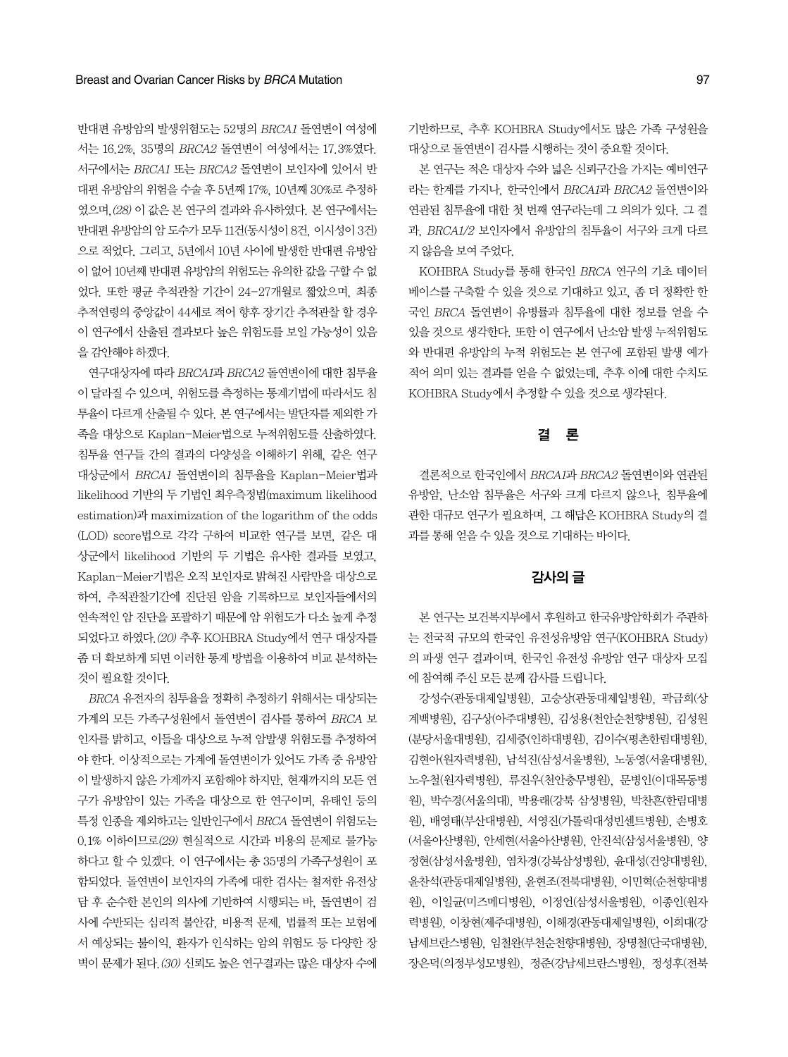반대편 유방암의 발생위험도는 52명의 BRCA1 돌연변이 여성에 서는 16.2%, 35명의 BRCA2 돌연변이 여성에서는 17.3%였다. 서구에서는 BRCA1 또는 BRCA2 돌연변이 보인자에 있어서 반 대편유방암의위험을수술후 5년째17%, 10년째 30%로추정하 였으며, (28) 이 값은 본 연구의 결과와 유사하였다. 본 연구에서는 반대편유방암의암도수가모두 11건(동시성이8건, 이시성이3건) 으로 적었다. 그리고, 5년에서 10년 사이에 발생한 반대편 유방암 이 없어 10년째 반대편 유방암의 위험도는 유의한 값을 구할 수 없 었다. 또한 평균 추적관찰 기간이 24-27개월로 짧았으며, 최종 추적연령의 중앙값이 44세로 적어 향후 장기간 추적관찰 할 경우 이 연구에서 산출된 결과보다 높은 위험도를 보일 가능성이 있음 을감안해야하겠다.

연구대상자에 따라 BRCA1과 BRCA2 돌연변이에 대한 침투율 이 달라질 수 있으며, 위험도를 측정하는 통계기법에 따라서도 침 투율이 다르게 산출될 수 있다. 본 연구에서는 발단자를 제외한 가 족을 대상으로 Kaplan-Meier법으로 누적위험도를 산출하였다. 침투율 연구들 간의 결과의 다양성을 이해하기 위해, 같은 연구 대상군에서 BRCA1 돌연변이의 침투율을 Kaplan-Meier법과 likelihood 기반의두기법인최우측정법(maximum likelihood estimation)과maximization of the logarithm of the odds (LOD) score법으로 각각 구하여 비교한 연구를 보면, 같은 대 상군에서 likelihood 기반의 두 기법은 유사한 결과를 보였고, Kaplan-Meier기법은 오직 보인자로 밝혀진 사람만을 대상으로 하여, 추적관찰기간에 진단된 암을 기록하므로 보인자들에서의 연속적인 암 진단을 포괄하기 때문에 암 위험도가 다소 높게 추정 되었다고 하였다. (20) 추후 KOHBRA Study에서 연구 대상자를 좀 더 확보하게 되면 이러한 통계 방법을 이용하여 비교 분석하는 것이필요할것이다.

BRCA 유전자의 침투율을 정확히 추정하기 위해서는 대상되는 가계의 모든 가족구성원에서 돌연변이 검사를 통하여 BRCA 보 인자를 밝히고, 이들을 대상으로 누적 암발생 위험도를 추정하여 야 한다. 이상적으로는 가계에 돌연변이가 있어도 가족 중 유방암 이 발생하지 않은 가계까지 포함해야 하지만, 현재까지의 모든 연 구가 유방암이 있는 가족을 대상으로 한 연구이며, 유태인 등의 특정 인종을 제외하고는 일반인구에서 BRCA 돌연변이 위험도는 0.1% 이하이므로(29) 현실적으로 시간과 비용의 문제로 불가능 하다고 할 수 있겠다. 이 연구에서는 총 35명의 가족구성원이 포 함되었다. 돌연변이 보인자의 가족에 대한 검사는 철저한 유전상 담 후 순수한 본인의 의사에 기반하여 시행되는 바, 돌연변이 검 사에 수반되는 심리적 불안감, 비용적 문제, 법률적 또는 보험에 서 예상되는 불이익, 환자가 인식하는 암의 위험도 등 다양한 장 벽이 문제가 된다. (30) 신뢰도 높은 연구결과는 많은 대상자 수에 기반하므로, 추후 KOHBRA Study에서도 많은 가족 구성원을 대상으로 돌연변이 검사를 시행하는 것이 중요할 것이다.

본 연구는 적은 대상자 수와 넓은 신뢰구간을 가지는 예비연구 라는 한계를 가지나, 한국인에서 BRCA1과 BRCA2 돌연변이와 연관된 침투율에 대한 첫 번째 연구라는데 그 의의가 있다. 그 결 과, BRCA1/2 보인자에서 유방암의 침투율이 서구와 크게 다르 지않음을보여주었다.

KOHBRA Study를 통해 한국인 BRCA 연구의 기초 데이터 베이스를 구축할 수 있을 것으로 기대하고 있고, 좀 더 정확한 한 국인 BRCA 돌연변이 유병률과 침투율에 대한 정보를 얻을 수 있을 것으로 생각한다. 또한 이 연구에서 난소암 발생 누적위험도 와 반대편 유방암의 누적 위험도는 본 연구에 포함된 발생 예가 적어 의미 있는 결과를 얻을 수 없었는데, 추후 이에 대한 수치도 KOHBRA Study에서 추정할 수 있을 것으로 생각된다.

## 결 론

결론적으로 한국인에서 BRCA1과 BRCA2 돌연변이와 연관된 유방암, 난소암 침투율은 서구와 크게 다르지 않으나, 침투율에 관한 대규모 연구가 필요하며, 그 해답은 KOHBRA Study의 결 과를 통해 얻을 수 있을 것으로 기대하는 바이다.

## 감사의 글

본 연구는 보건복지부에서 후원하고 한국유방암학회가 주관하 는 전국적 규모의 한국인 유전성유방암 연구(KOHBRA Study) 의 파생 연구 결과이며, 한국인 유전성 유방암 연구 대상자 모집 에참여해주신모든분께감사를드립니다.

강성수(관동대제일병원), 고승상(관동대제일병원), 곽금희(상 계백병원), 김구상(아주대병원), 김성용(천안순천향병원), 김성원 (분당서울대병원), 김세중(인하대병원), 김이수(평촌한림대병원), 김현아(원자력병원), 남석진(삼성서울병원), 노동영(서울대병원), 노우철(원자력병원), 류진우(천안충무병원), 문병인(이대목동병 원), 박수경(서울의대), 박용래(강북 삼성병원), 박찬흔(한림대병 원), 배영태(부산대병원), 서영진(가톨릭대성빈센트병원), 손병호 (서울아산병원), 안세현(서울아산병원), 안진석(삼성서울병원), 양 정현(삼성서울병원), 염차경(강북삼성병원), 윤대성(건양대병원), 윤찬석(관동대제일병원), 윤현조(전북대병원), 이민혁(순천향대병 원), 이일균(미즈메디병원), 이정언(삼성서울병원), 이종인(원자 력병원), 이창현(제주대병원), 이해경(관동대제일병원), 이희대(강 남세브란스병원), 임철완(부천순천향대병원), 장명철(단국대병원), 장은덕(의정부성모병원), 정준(강남세브란스병원), 정성후(전북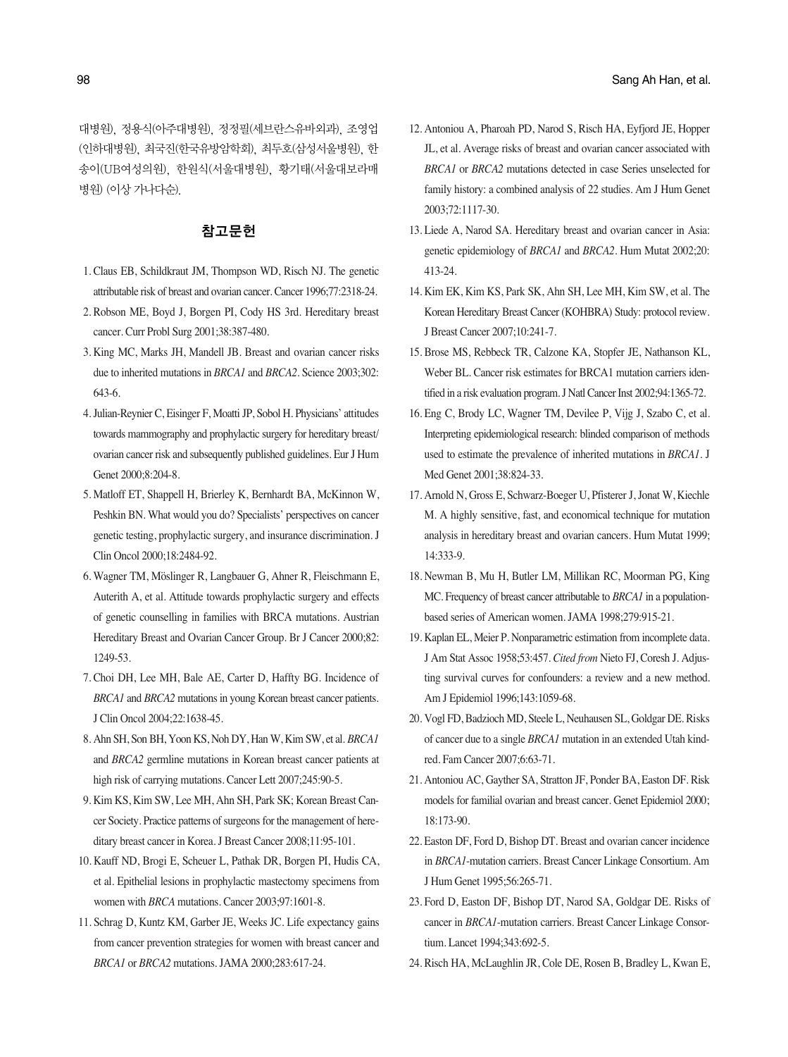대병원), 정용식(아주대병원), 정정필(세브란스유바외과), 조영업 (인하대병원), 최국진(한국유방암학회), 최두호(삼성서울병원), 한 송이(UB여성의원), 한원식(서울대병원), 황기태(서울대보라매 병원) (이상가나다순).

## 참고문헌

- 1. Claus EB, Schildkraut JM, Thompson WD, Risch NJ. The genetic attributable risk of breast and ovarian cancer. Cancer 1996;77:2318-24.
- 2. Robson ME, Boyd J, Borgen PI, Cody HS 3rd. Hereditary breast cancer. Curr Probl Surg 2001;38:387-480.
- 3. King MC, Marks JH, Mandell JB. Breast and ovarian cancer risks due to inherited mutations in *BRCA1* and *BRCA2*. Science 2003;302: 643-6.
- 4. Julian-Reynier C, Eisinger F, Moatti JP, Sobol H. Physicians' attitudes towards mammography and prophylactic surgery for hereditary breast/ ovarian cancer risk and subsequently published guidelines. Eur J Hum Genet 2000;8:204-8.
- 5. Matloff ET, Shappell H, Brierley K, Bernhardt BA, McKinnon W, Peshkin BN. What would you do? Specialists' perspectives on cancer genetic testing, prophylactic surgery, and insurance discrimination. J Clin Oncol 2000;18:2484-92.
- 6. Wagner TM, Möslinger R, Langbauer G, Ahner R, Fleischmann E, Auterith A, et al. Attitude towards prophylactic surgery and effects of genetic counselling in families with BRCA mutations. Austrian Hereditary Breast and Ovarian Cancer Group. Br J Cancer 2000;82: 1249-53.
- 7. Choi DH, Lee MH, Bale AE, Carter D, Haffty BG. Incidence of *BRCA1* and *BRCA2* mutations in young Korean breast cancer patients. J Clin Oncol 2004;22:1638-45.
- 8. Ahn SH, Son BH, Yoon KS, Noh DY, Han W, Kim SW, et al. *BRCA1* and *BRCA2* germline mutations in Korean breast cancer patients at high risk of carrying mutations. Cancer Lett 2007;245:90-5.
- 9. Kim KS, Kim SW, Lee MH, Ahn SH, Park SK; Korean Breast Cancer Society. Practice patterns of surgeons for the management of hereditary breast cancer in Korea. J Breast Cancer 2008;11:95-101.
- 10. Kauff ND, Brogi E, Scheuer L, Pathak DR, Borgen PI, Hudis CA, et al. Epithelial lesions in prophylactic mastectomy specimens from women with *BRCA* mutations. Cancer 2003;97:1601-8.
- 11. Schrag D, Kuntz KM, Garber JE, Weeks JC. Life expectancy gains from cancer prevention strategies for women with breast cancer and *BRCA1* or *BRCA2* mutations. JAMA 2000;283:617-24.
- 12. Antoniou A, Pharoah PD, Narod S, Risch HA, Eyfjord JE, Hopper JL, et al. Average risks of breast and ovarian cancer associated with *BRCA1* or *BRCA2* mutations detected in case Series unselected for family history: a combined analysis of 22 studies. Am J Hum Genet 2003;72:1117-30.
- 13. Liede A, Narod SA. Hereditary breast and ovarian cancer in Asia: genetic epidemiology of *BRCA1* and *BRCA2*. Hum Mutat 2002;20: 413-24.
- 14. Kim EK, Kim KS, Park SK, Ahn SH, Lee MH, Kim SW, et al. The Korean Hereditary Breast Cancer (KOHBRA) Study: protocol review. J Breast Cancer 2007;10:241-7.
- 15. Brose MS, Rebbeck TR, Calzone KA, Stopfer JE, Nathanson KL, Weber BL. Cancer risk estimates for BRCA1 mutation carriers identified in a risk evaluation program. J Natl Cancer Inst 2002;94:1365-72.
- 16. Eng C, Brody LC, Wagner TM, Devilee P, Vijg J, Szabo C, et al. Interpreting epidemiological research: blinded comparison of methods used to estimate the prevalence of inherited mutations in *BRCA1*. J Med Genet 2001;38:824-33.
- 17. Arnold N, Gross E, Schwarz-Boeger U, Pfisterer J, Jonat W, Kiechle M. A highly sensitive, fast, and economical technique for mutation analysis in hereditary breast and ovarian cancers. Hum Mutat 1999; 14:333-9.
- 18. Newman B, Mu H, Butler LM, Millikan RC, Moorman PG, King MC. Frequency of breast cancer attributable to *BRCA1* in a populationbased series of American women. JAMA 1998;279:915-21.
- 19. Kaplan EL, Meier P. Nonparametric estimation from incomplete data. J Am Stat Assoc 1958;53:457. *Cited from* Nieto FJ, Coresh J. Adjusting survival curves for confounders: a review and a new method. Am J Epidemiol 1996;143:1059-68.
- 20. Vogl FD, Badzioch MD, Steele L, Neuhausen SL, Goldgar DE. Risks of cancer due to a single *BRCA1* mutation in an extended Utah kindred. Fam Cancer 2007;6:63-71.
- 21. Antoniou AC, Gayther SA, Stratton JF, Ponder BA, Easton DF. Risk models for familial ovarian and breast cancer. Genet Epidemiol 2000; 18:173-90.
- 22. Easton DF, Ford D, Bishop DT. Breast and ovarian cancer incidence in *BRCA1*-mutation carriers. Breast Cancer Linkage Consortium. Am J Hum Genet 1995;56:265-71.
- 23. Ford D, Easton DF, Bishop DT, Narod SA, Goldgar DE. Risks of cancer in *BRCA1*-mutation carriers. Breast Cancer Linkage Consortium. Lancet 1994;343:692-5.
- 24. Risch HA, McLaughlin JR, Cole DE, Rosen B, Bradley L, Kwan E,